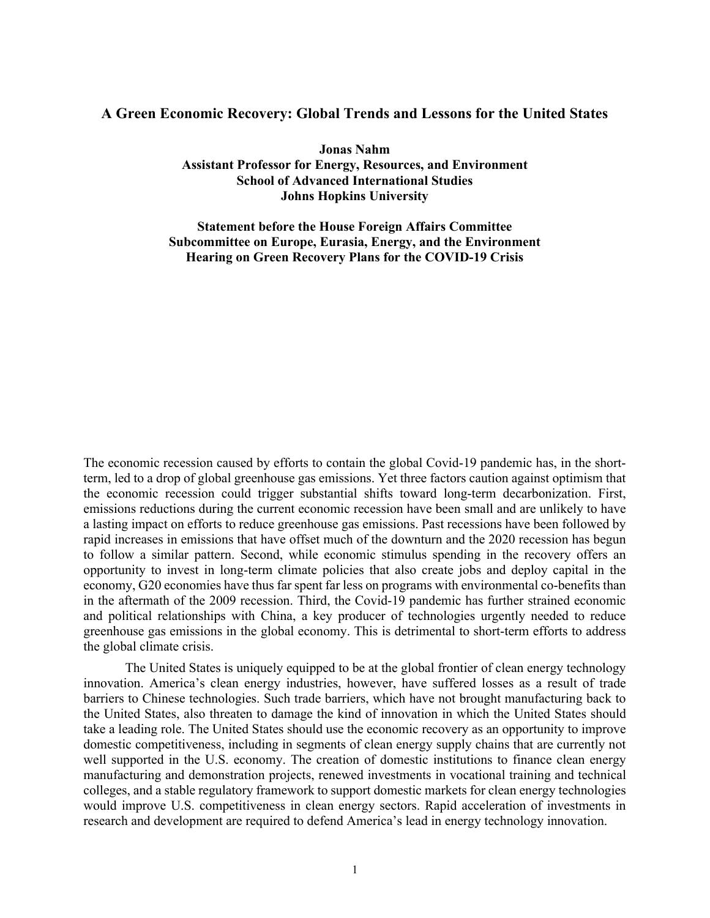# **A Green Economic Recovery: Global Trends and Lessons for the United States**

**Jonas Nahm Assistant Professor for Energy, Resources, and Environment School of Advanced International Studies Johns Hopkins University**

**Statement before the House Foreign Affairs Committee Subcommittee on Europe, Eurasia, Energy, and the Environment Hearing on Green Recovery Plans for the COVID-19 Crisis**

The economic recession caused by efforts to contain the global Covid-19 pandemic has, in the shortterm, led to a drop of global greenhouse gas emissions. Yet three factors caution against optimism that the economic recession could trigger substantial shifts toward long-term decarbonization. First, emissions reductions during the current economic recession have been small and are unlikely to have a lasting impact on efforts to reduce greenhouse gas emissions. Past recessions have been followed by rapid increases in emissions that have offset much of the downturn and the 2020 recession has begun to follow a similar pattern. Second, while economic stimulus spending in the recovery offers an opportunity to invest in long-term climate policies that also create jobs and deploy capital in the economy, G20 economies have thus far spent far less on programs with environmental co-benefits than in the aftermath of the 2009 recession. Third, the Covid-19 pandemic has further strained economic and political relationships with China, a key producer of technologies urgently needed to reduce greenhouse gas emissions in the global economy. This is detrimental to short-term efforts to address the global climate crisis.

The United States is uniquely equipped to be at the global frontier of clean energy technology innovation. America's clean energy industries, however, have suffered losses as a result of trade barriers to Chinese technologies. Such trade barriers, which have not brought manufacturing back to the United States, also threaten to damage the kind of innovation in which the United States should take a leading role. The United States should use the economic recovery as an opportunity to improve domestic competitiveness, including in segments of clean energy supply chains that are currently not well supported in the U.S. economy. The creation of domestic institutions to finance clean energy manufacturing and demonstration projects, renewed investments in vocational training and technical colleges, and a stable regulatory framework to support domestic markets for clean energy technologies would improve U.S. competitiveness in clean energy sectors. Rapid acceleration of investments in research and development are required to defend America's lead in energy technology innovation.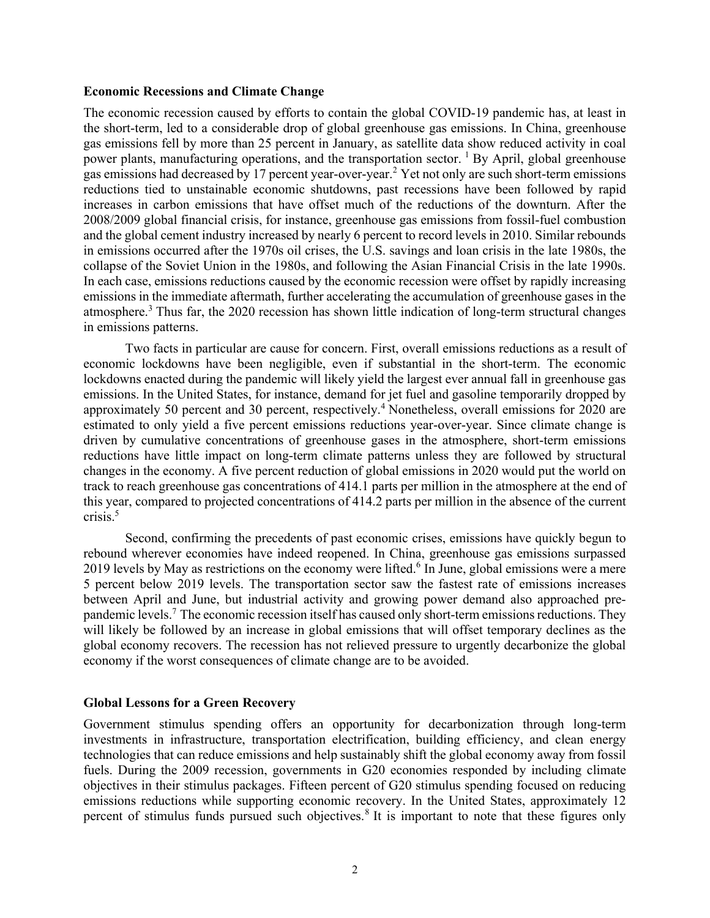#### **Economic Recessions and Climate Change**

The economic recession caused by efforts to contain the global COVID-19 pandemic has, at least in the short-term, led to a considerable drop of global greenhouse gas emissions. In China, greenhouse gas emissions fell by more than 25 percent in January, as satellite data show reduced activity in coal power plants, manufacturing operations, and the transportation sector. <sup>1</sup> By April, global greenhouse gas emissions had decreased by 17 percent year-over-year.<sup>2</sup> Yet not only are such short-term emissions reductions tied to unstainable economic shutdowns, past recessions have been followed by rapid increases in carbon emissions that have offset much of the reductions of the downturn. After the 2008/2009 global financial crisis, for instance, greenhouse gas emissions from fossil-fuel combustion and the global cement industry increased by nearly 6 percent to record levels in 2010. Similar rebounds in emissions occurred after the 1970s oil crises, the U.S. savings and loan crisis in the late 1980s, the collapse of the Soviet Union in the 1980s, and following the Asian Financial Crisis in the late 1990s. In each case, emissions reductions caused by the economic recession were offset by rapidly increasing emissions in the immediate aftermath, further accelerating the accumulation of greenhouse gases in the atmosphere.<sup>3</sup> Thus far, the 2020 recession has shown little indication of long-term structural changes in emissions patterns.

Two facts in particular are cause for concern. First, overall emissions reductions as a result of economic lockdowns have been negligible, even if substantial in the short-term. The economic lockdowns enacted during the pandemic will likely yield the largest ever annual fall in greenhouse gas emissions. In the United States, for instance, demand for jet fuel and gasoline temporarily dropped by approximately 50 percent and 30 percent, respectively.<sup>4</sup> Nonetheless, overall emissions for 2020 are estimated to only yield a five percent emissions reductions year-over-year. Since climate change is driven by cumulative concentrations of greenhouse gases in the atmosphere, short-term emissions reductions have little impact on long-term climate patterns unless they are followed by structural changes in the economy. A five percent reduction of global emissions in 2020 would put the world on track to reach greenhouse gas concentrations of 414.1 parts per million in the atmosphere at the end of this year, compared to projected concentrations of 414.2 parts per million in the absence of the current  $crisis.<sup>5</sup>$ 

Second, confirming the precedents of past economic crises, emissions have quickly begun to rebound wherever economies have indeed reopened. In China, greenhouse gas emissions surpassed 2019 levels by May as restrictions on the economy were lifted.<sup>6</sup> In June, global emissions were a mere 5 percent below 2019 levels. The transportation sector saw the fastest rate of emissions increases between April and June, but industrial activity and growing power demand also approached prepandemic levels.<sup>7</sup> The economic recession itself has caused only short-term emissions reductions. They will likely be followed by an increase in global emissions that will offset temporary declines as the global economy recovers. The recession has not relieved pressure to urgently decarbonize the global economy if the worst consequences of climate change are to be avoided.

### **Global Lessons for a Green Recovery**

Government stimulus spending offers an opportunity for decarbonization through long-term investments in infrastructure, transportation electrification, building efficiency, and clean energy technologies that can reduce emissions and help sustainably shift the global economy away from fossil fuels. During the 2009 recession, governments in G20 economies responded by including climate objectives in their stimulus packages. Fifteen percent of G20 stimulus spending focused on reducing emissions reductions while supporting economic recovery. In the United States, approximately 12 percent of stimulus funds pursued such objectives.<sup>8</sup> It is important to note that these figures only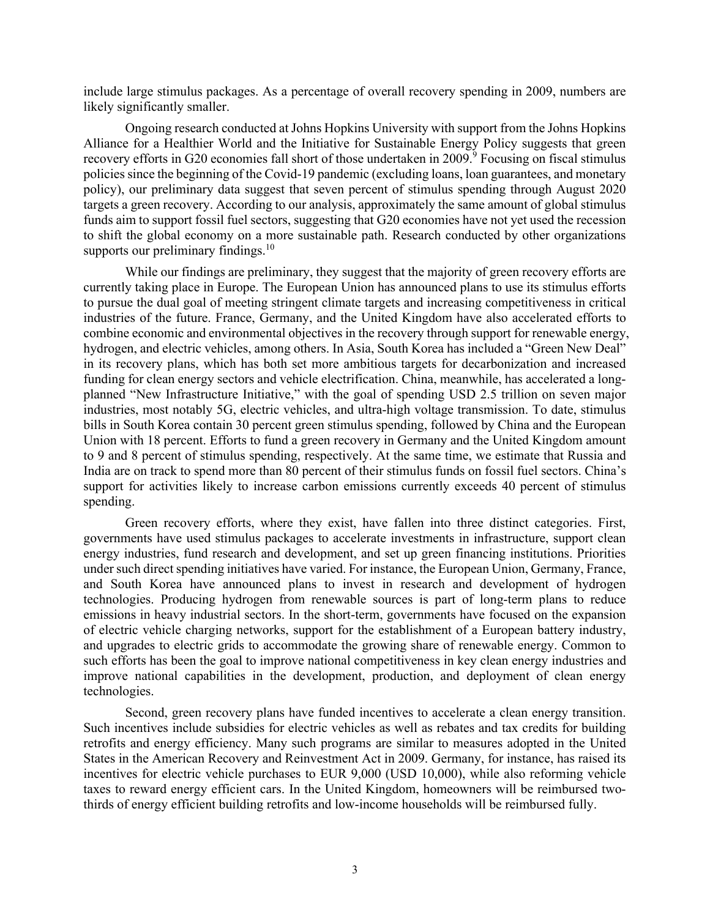include large stimulus packages. As a percentage of overall recovery spending in 2009, numbers are likely significantly smaller.

Ongoing research conducted at Johns Hopkins University with support from the Johns Hopkins Alliance for a Healthier World and the Initiative for Sustainable Energy Policy suggests that green recovery efforts in G20 economies fall short of those undertaken in 2009.<sup>9</sup> Focusing on fiscal stimulus policies since the beginning of the Covid-19 pandemic (excluding loans, loan guarantees, and monetary policy), our preliminary data suggest that seven percent of stimulus spending through August 2020 targets a green recovery. According to our analysis, approximately the same amount of global stimulus funds aim to support fossil fuel sectors, suggesting that G20 economies have not yet used the recession to shift the global economy on a more sustainable path. Research conducted by other organizations supports our preliminary findings. $10$ 

While our findings are preliminary, they suggest that the majority of green recovery efforts are currently taking place in Europe. The European Union has announced plans to use its stimulus efforts to pursue the dual goal of meeting stringent climate targets and increasing competitiveness in critical industries of the future. France, Germany, and the United Kingdom have also accelerated efforts to combine economic and environmental objectives in the recovery through support for renewable energy, hydrogen, and electric vehicles, among others. In Asia, South Korea has included a "Green New Deal" in its recovery plans, which has both set more ambitious targets for decarbonization and increased funding for clean energy sectors and vehicle electrification. China, meanwhile, has accelerated a longplanned "New Infrastructure Initiative," with the goal of spending USD 2.5 trillion on seven major industries, most notably 5G, electric vehicles, and ultra-high voltage transmission. To date, stimulus bills in South Korea contain 30 percent green stimulus spending, followed by China and the European Union with 18 percent. Efforts to fund a green recovery in Germany and the United Kingdom amount to 9 and 8 percent of stimulus spending, respectively. At the same time, we estimate that Russia and India are on track to spend more than 80 percent of their stimulus funds on fossil fuel sectors. China's support for activities likely to increase carbon emissions currently exceeds 40 percent of stimulus spending.

Green recovery efforts, where they exist, have fallen into three distinct categories. First, governments have used stimulus packages to accelerate investments in infrastructure, support clean energy industries, fund research and development, and set up green financing institutions. Priorities under such direct spending initiatives have varied. For instance, the European Union, Germany, France, and South Korea have announced plans to invest in research and development of hydrogen technologies. Producing hydrogen from renewable sources is part of long-term plans to reduce emissions in heavy industrial sectors. In the short-term, governments have focused on the expansion of electric vehicle charging networks, support for the establishment of a European battery industry, and upgrades to electric grids to accommodate the growing share of renewable energy. Common to such efforts has been the goal to improve national competitiveness in key clean energy industries and improve national capabilities in the development, production, and deployment of clean energy technologies.

Second, green recovery plans have funded incentives to accelerate a clean energy transition. Such incentives include subsidies for electric vehicles as well as rebates and tax credits for building retrofits and energy efficiency. Many such programs are similar to measures adopted in the United States in the American Recovery and Reinvestment Act in 2009. Germany, for instance, has raised its incentives for electric vehicle purchases to EUR 9,000 (USD 10,000), while also reforming vehicle taxes to reward energy efficient cars. In the United Kingdom, homeowners will be reimbursed twothirds of energy efficient building retrofits and low-income households will be reimbursed fully.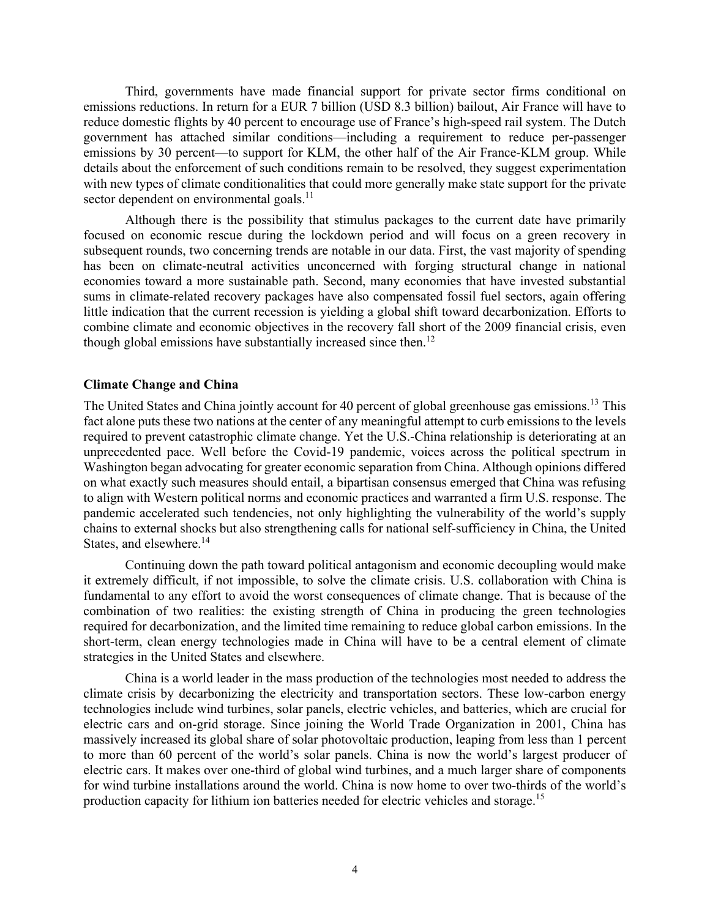Third, governments have made financial support for private sector firms conditional on emissions reductions. In return for a EUR 7 billion (USD 8.3 billion) bailout, Air France will have to reduce domestic flights by 40 percent to encourage use of France's high-speed rail system. The Dutch government has attached similar conditions—including a requirement to reduce per-passenger emissions by 30 percent—to support for KLM, the other half of the Air France-KLM group. While details about the enforcement of such conditions remain to be resolved, they suggest experimentation with new types of climate conditionalities that could more generally make state support for the private sector dependent on environmental goals.<sup>11</sup>

Although there is the possibility that stimulus packages to the current date have primarily focused on economic rescue during the lockdown period and will focus on a green recovery in subsequent rounds, two concerning trends are notable in our data. First, the vast majority of spending has been on climate-neutral activities unconcerned with forging structural change in national economies toward a more sustainable path. Second, many economies that have invested substantial sums in climate-related recovery packages have also compensated fossil fuel sectors, again offering little indication that the current recession is yielding a global shift toward decarbonization. Efforts to combine climate and economic objectives in the recovery fall short of the 2009 financial crisis, even though global emissions have substantially increased since then.<sup>12</sup>

## **Climate Change and China**

The United States and China jointly account for 40 percent of global greenhouse gas emissions.<sup>13</sup> This fact alone puts these two nations at the center of any meaningful attempt to curb emissions to the levels required to prevent catastrophic climate change. Yet the U.S.-China relationship is deteriorating at an unprecedented pace. Well before the Covid-19 pandemic, voices across the political spectrum in Washington began advocating for greater economic separation from China. Although opinions differed on what exactly such measures should entail, a bipartisan consensus emerged that China was refusing to align with Western political norms and economic practices and warranted a firm U.S. response. The pandemic accelerated such tendencies, not only highlighting the vulnerability of the world's supply chains to external shocks but also strengthening calls for national self-sufficiency in China, the United States, and elsewhere. 14

Continuing down the path toward political antagonism and economic decoupling would make it extremely difficult, if not impossible, to solve the climate crisis. U.S. collaboration with China is fundamental to any effort to avoid the worst consequences of climate change. That is because of the combination of two realities: the existing strength of China in producing the green technologies required for decarbonization, and the limited time remaining to reduce global carbon emissions. In the short-term, clean energy technologies made in China will have to be a central element of climate strategies in the United States and elsewhere.

China is a world leader in the mass production of the technologies most needed to address the climate crisis by decarbonizing the electricity and transportation sectors. These low-carbon energy technologies include wind turbines, solar panels, electric vehicles, and batteries, which are crucial for electric cars and on-grid storage. Since joining the World Trade Organization in 2001, China has massively increased its global share of solar photovoltaic production, leaping from less than 1 percent to more than 60 percent of the world's solar panels. China is now the world's largest producer of electric cars. It makes over one-third of global wind turbines, and a much larger share of components for wind turbine installations around the world. China is now home to over two-thirds of the world's production capacity for lithium ion batteries needed for electric vehicles and storage.<sup>15</sup>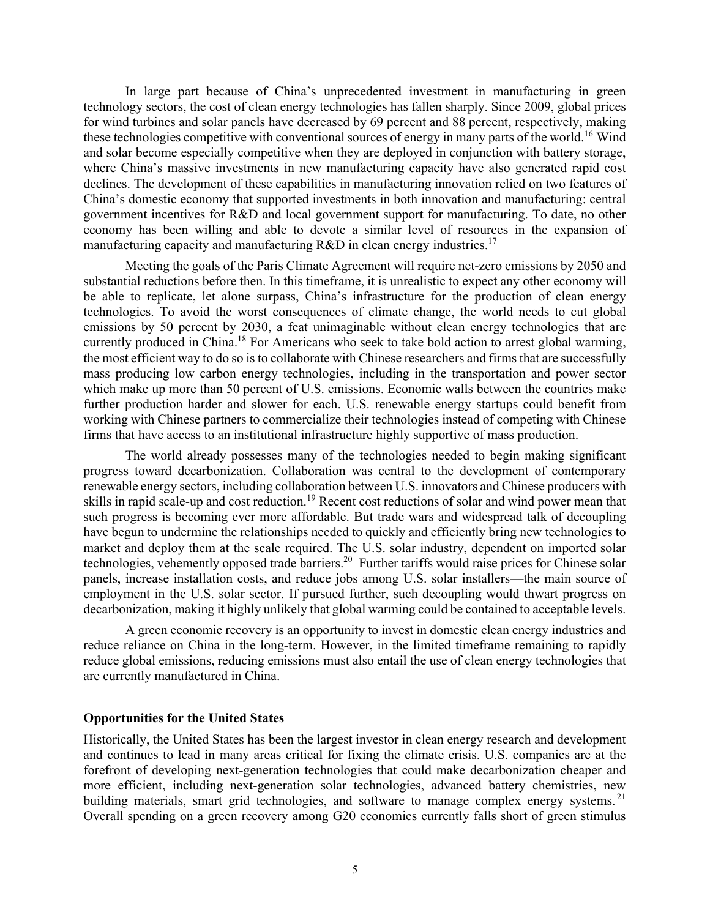In large part because of China's unprecedented investment in manufacturing in green technology sectors, the cost of clean energy technologies has fallen sharply. Since 2009, global prices for wind turbines and solar panels have decreased by 69 percent and 88 percent, respectively, making these technologies competitive with conventional sources of energy in many parts of the world.<sup>16</sup> Wind and solar become especially competitive when they are deployed in conjunction with battery storage, where China's massive investments in new manufacturing capacity have also generated rapid cost declines. The development of these capabilities in manufacturing innovation relied on two features of China's domestic economy that supported investments in both innovation and manufacturing: central government incentives for R&D and local government support for manufacturing. To date, no other economy has been willing and able to devote a similar level of resources in the expansion of manufacturing capacity and manufacturing  $R&D$  in clean energy industries.<sup>17</sup>

Meeting the goals of the Paris Climate Agreement will require net-zero emissions by 2050 and substantial reductions before then. In this timeframe, it is unrealistic to expect any other economy will be able to replicate, let alone surpass, China's infrastructure for the production of clean energy technologies. To avoid the worst consequences of climate change, the world needs to cut global emissions by 50 percent by 2030, a feat unimaginable without clean energy technologies that are currently produced in China.<sup>18</sup> For Americans who seek to take bold action to arrest global warming, the most efficient way to do so is to collaborate with Chinese researchers and firms that are successfully mass producing low carbon energy technologies, including in the transportation and power sector which make up more than 50 percent of U.S. emissions. Economic walls between the countries make further production harder and slower for each. U.S. renewable energy startups could benefit from working with Chinese partners to commercialize their technologies instead of competing with Chinese firms that have access to an institutional infrastructure highly supportive of mass production.

The world already possesses many of the technologies needed to begin making significant progress toward decarbonization. Collaboration was central to the development of contemporary renewable energy sectors, including collaboration between U.S. innovators and Chinese producers with skills in rapid scale-up and cost reduction.<sup>19</sup> Recent cost reductions of solar and wind power mean that such progress is becoming ever more affordable. But trade wars and widespread talk of decoupling have begun to undermine the relationships needed to quickly and efficiently bring new technologies to market and deploy them at the scale required. The U.S. solar industry, dependent on imported solar technologies, vehemently opposed trade barriers.<sup>20</sup> Further tariffs would raise prices for Chinese solar panels, increase installation costs, and reduce jobs among U.S. solar installers—the main source of employment in the U.S. solar sector. If pursued further, such decoupling would thwart progress on decarbonization, making it highly unlikely that global warming could be contained to acceptable levels.

A green economic recovery is an opportunity to invest in domestic clean energy industries and reduce reliance on China in the long-term. However, in the limited timeframe remaining to rapidly reduce global emissions, reducing emissions must also entail the use of clean energy technologies that are currently manufactured in China.

### **Opportunities for the United States**

Historically, the United States has been the largest investor in clean energy research and development and continues to lead in many areas critical for fixing the climate crisis. U.S. companies are at the forefront of developing next-generation technologies that could make decarbonization cheaper and more efficient, including next-generation solar technologies, advanced battery chemistries, new building materials, smart grid technologies, and software to manage complex energy systems.<sup>21</sup> Overall spending on a green recovery among G20 economies currently falls short of green stimulus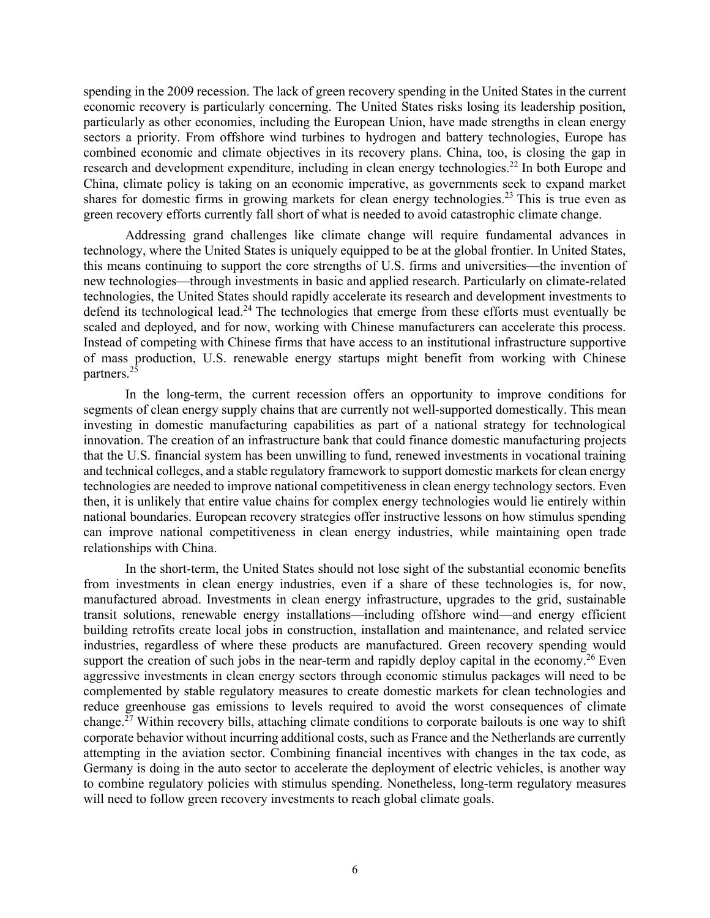spending in the 2009 recession. The lack of green recovery spending in the United States in the current economic recovery is particularly concerning. The United States risks losing its leadership position, particularly as other economies, including the European Union, have made strengths in clean energy sectors a priority. From offshore wind turbines to hydrogen and battery technologies, Europe has combined economic and climate objectives in its recovery plans. China, too, is closing the gap in research and development expenditure, including in clean energy technologies.<sup>22</sup> In both Europe and China, climate policy is taking on an economic imperative, as governments seek to expand market shares for domestic firms in growing markets for clean energy technologies.<sup>23</sup> This is true even as green recovery efforts currently fall short of what is needed to avoid catastrophic climate change.

Addressing grand challenges like climate change will require fundamental advances in technology, where the United States is uniquely equipped to be at the global frontier. In United States, this means continuing to support the core strengths of U.S. firms and universities—the invention of new technologies—through investments in basic and applied research. Particularly on climate-related technologies, the United States should rapidly accelerate its research and development investments to defend its technological lead.<sup>24</sup> The technologies that emerge from these efforts must eventually be scaled and deployed, and for now, working with Chinese manufacturers can accelerate this process. Instead of competing with Chinese firms that have access to an institutional infrastructure supportive of mass production, U.S. renewable energy startups might benefit from working with Chinese partners.<sup>25</sup>

In the long-term, the current recession offers an opportunity to improve conditions for segments of clean energy supply chains that are currently not well-supported domestically. This mean investing in domestic manufacturing capabilities as part of a national strategy for technological innovation. The creation of an infrastructure bank that could finance domestic manufacturing projects that the U.S. financial system has been unwilling to fund, renewed investments in vocational training and technical colleges, and a stable regulatory framework to support domestic markets for clean energy technologies are needed to improve national competitiveness in clean energy technology sectors. Even then, it is unlikely that entire value chains for complex energy technologies would lie entirely within national boundaries. European recovery strategies offer instructive lessons on how stimulus spending can improve national competitiveness in clean energy industries, while maintaining open trade relationships with China.

In the short-term, the United States should not lose sight of the substantial economic benefits from investments in clean energy industries, even if a share of these technologies is, for now, manufactured abroad. Investments in clean energy infrastructure, upgrades to the grid, sustainable transit solutions, renewable energy installations—including offshore wind—and energy efficient building retrofits create local jobs in construction, installation and maintenance, and related service industries, regardless of where these products are manufactured. Green recovery spending would support the creation of such jobs in the near-term and rapidly deploy capital in the economy.<sup>26</sup> Even aggressive investments in clean energy sectors through economic stimulus packages will need to be complemented by stable regulatory measures to create domestic markets for clean technologies and reduce greenhouse gas emissions to levels required to avoid the worst consequences of climate change.<sup>27</sup> Within recovery bills, attaching climate conditions to corporate bailouts is one way to shift corporate behavior without incurring additional costs, such as France and the Netherlands are currently attempting in the aviation sector. Combining financial incentives with changes in the tax code, as Germany is doing in the auto sector to accelerate the deployment of electric vehicles, is another way to combine regulatory policies with stimulus spending. Nonetheless, long-term regulatory measures will need to follow green recovery investments to reach global climate goals.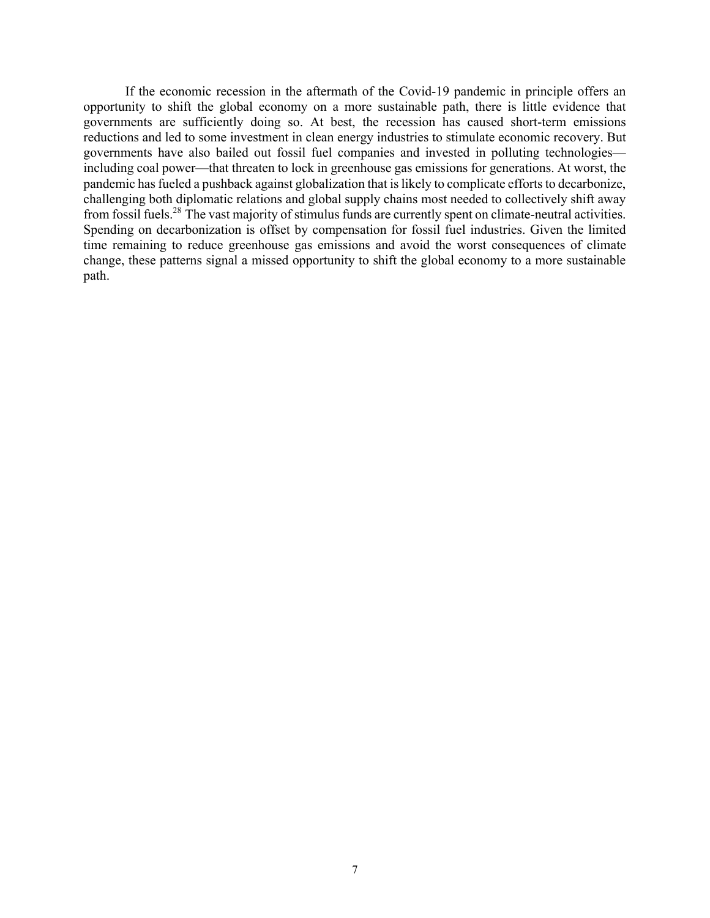If the economic recession in the aftermath of the Covid-19 pandemic in principle offers an opportunity to shift the global economy on a more sustainable path, there is little evidence that governments are sufficiently doing so. At best, the recession has caused short-term emissions reductions and led to some investment in clean energy industries to stimulate economic recovery. But governments have also bailed out fossil fuel companies and invested in polluting technologies including coal power—that threaten to lock in greenhouse gas emissions for generations. At worst, the pandemic has fueled a pushback against globalization that is likely to complicate efforts to decarbonize, challenging both diplomatic relations and global supply chains most needed to collectively shift away from fossil fuels.<sup>28</sup> The vast majority of stimulus funds are currently spent on climate-neutral activities. Spending on decarbonization is offset by compensation for fossil fuel industries. Given the limited time remaining to reduce greenhouse gas emissions and avoid the worst consequences of climate change, these patterns signal a missed opportunity to shift the global economy to a more sustainable path.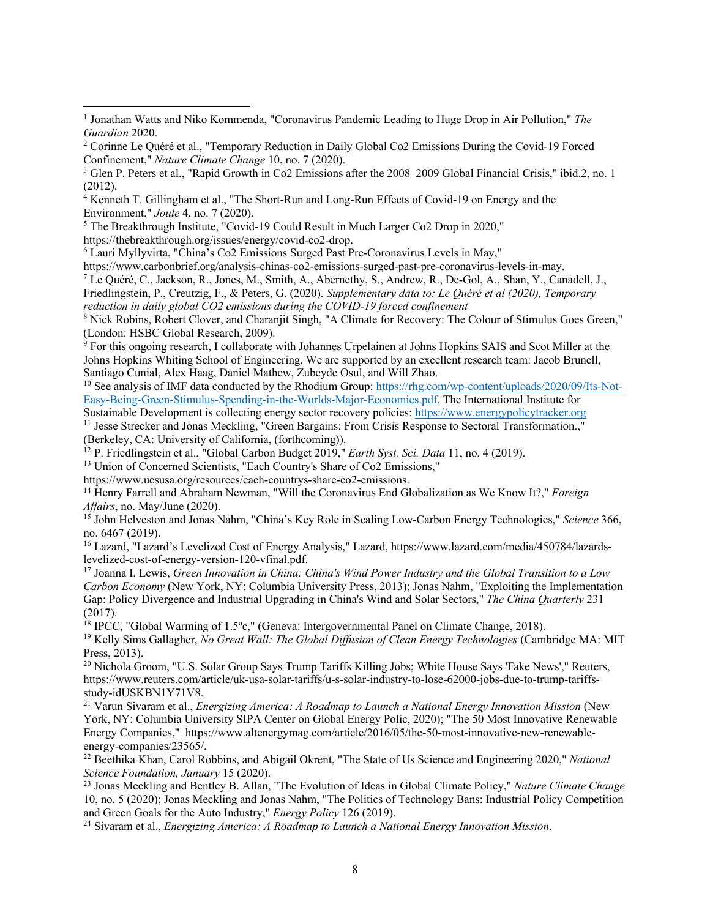<sup>5</sup> The Breakthrough Institute, "Covid-19 Could Result in Much Larger Co2 Drop in 2020," https://thebreakthrough.org/issues/energy/covid-co2-drop.

<sup>6</sup> Lauri Myllyvirta, "China's Co2 Emissions Surged Past Pre-Coronavirus Levels in May,"

https://www.carbonbrief.org/analysis-chinas-co2-emissions-surged-past-pre-coronavirus-levels-in-may.

<sup>7</sup> Le Quéré, C., Jackson, R., Jones, M., Smith, A., Abernethy, S., Andrew, R., De-Gol, A., Shan, Y., Canadell, J., Friedlingstein, P., Creutzig, F., & Peters, G. (2020). *Supplementary data to: Le Quéré et al (2020), Temporary* 

*reduction in daily global CO2 emissions during the COVID-19 forced confinement*

<sup>8</sup> Nick Robins, Robert Clover, and Charanjit Singh, "A Climate for Recovery: The Colour of Stimulus Goes Green," (London: HSBC Global Research, 2009).

<sup>9</sup> For this ongoing research, I collaborate with Johannes Urpelainen at Johns Hopkins SAIS and Scot Miller at the Johns Hopkins Whiting School of Engineering. We are supported by an excellent research team: Jacob Brunell, Santiago Cunial, Alex Haag, Daniel Mathew, Zubeyde Osul, and Will Zhao.<br><sup>10</sup> See analysis of IMF data conducted by the Rhodium Group: https://rhg.com/wp-content/uploads/2020/09/Its-Not-

Easy-Being-Green-Stimulus-Spending-in-the-Worlds-Major-Economies.pdf. The International Institute for

Sustainable Development is collecting energy sector recovery policies: https://www.energypolicytracker.org <sup>11</sup> Jesse Strecker and Jonas Meckling, "Green Bargains: From Crisis Response to Sectoral Transformation.," (Berkeley, CA: University of California, (forthcoming)).

<sup>12</sup> P. Friedlingstein et al., "Global Carbon Budget 2019," *Earth Syst. Sci. Data* 11, no. 4 (2019).

<sup>13</sup> Union of Concerned Scientists, "Each Country's Share of Co2 Emissions,"

https://www.ucsusa.org/resources/each-countrys-share-co2-emissions.

<sup>14</sup> Henry Farrell and Abraham Newman, "Will the Coronavirus End Globalization as We Know It?," *Foreign Affairs*, no. May/June (2020).

<sup>15</sup> John Helveston and Jonas Nahm, "China's Key Role in Scaling Low-Carbon Energy Technologies," *Science* 366, no. 6467 (2019).

<sup>16</sup> Lazard, "Lazard's Levelized Cost of Energy Analysis," Lazard, https://www.lazard.com/media/450784/lazardslevelized-cost-of-energy-version-120-vfinal.pdf.

<sup>17</sup> Joanna I. Lewis, *Green Innovation in China: China's Wind Power Industry and the Global Transition to a Low Carbon Economy* (New York, NY: Columbia University Press, 2013); Jonas Nahm, "Exploiting the Implementation Gap: Policy Divergence and Industrial Upgrading in China's Wind and Solar Sectors," *The China Quarterly* 231 (2017).

<sup>18</sup> IPCC, "Global Warming of 1.5°c," (Geneva: Intergovernmental Panel on Climate Change, 2018).

<sup>19</sup> Kelly Sims Gallagher, *No Great Wall: The Global Diffusion of Clean Energy Technologies* (Cambridge MA: MIT Press, 2013).

<sup>20</sup> Nichola Groom, "U.S. Solar Group Says Trump Tariffs Killing Jobs; White House Says 'Fake News'," Reuters, https://www.reuters.com/article/uk-usa-solar-tariffs/u-s-solar-industry-to-lose-62000-jobs-due-to-trump-tariffsstudy-idUSKBN1Y71V8.

<sup>21</sup> Varun Sivaram et al., *Energizing America: A Roadmap to Launch a National Energy Innovation Mission* (New York, NY: Columbia University SIPA Center on Global Energy Polic, 2020); "The 50 Most Innovative Renewable Energy Companies," https://www.altenergymag.com/article/2016/05/the-50-most-innovative-new-renewableenergy-companies/23565/.

<sup>22</sup> Beethika Khan, Carol Robbins, and Abigail Okrent, "The State of Us Science and Engineering 2020," *National Science Foundation, January* 15 (2020).

<sup>23</sup> Jonas Meckling and Bentley B. Allan, "The Evolution of Ideas in Global Climate Policy," *Nature Climate Change* 10, no. 5 (2020); Jonas Meckling and Jonas Nahm, "The Politics of Technology Bans: Industrial Policy Competition and Green Goals for the Auto Industry," *Energy Policy* 126 (2019).

<sup>24</sup> Sivaram et al., *Energizing America: A Roadmap to Launch a National Energy Innovation Mission*.

<sup>1</sup> Jonathan Watts and Niko Kommenda, "Coronavirus Pandemic Leading to Huge Drop in Air Pollution," *The Guardian* 2020.

<sup>2</sup> Corinne Le Quéré et al., "Temporary Reduction in Daily Global Co2 Emissions During the Covid-19 Forced Confinement," *Nature Climate Change* 10, no. 7 (2020).

<sup>3</sup> Glen P. Peters et al., "Rapid Growth in Co2 Emissions after the 2008–2009 Global Financial Crisis," ibid.2, no. 1 (2012).

<sup>4</sup> Kenneth T. Gillingham et al., "The Short-Run and Long-Run Effects of Covid-19 on Energy and the Environment," *Joule* 4, no. 7 (2020).